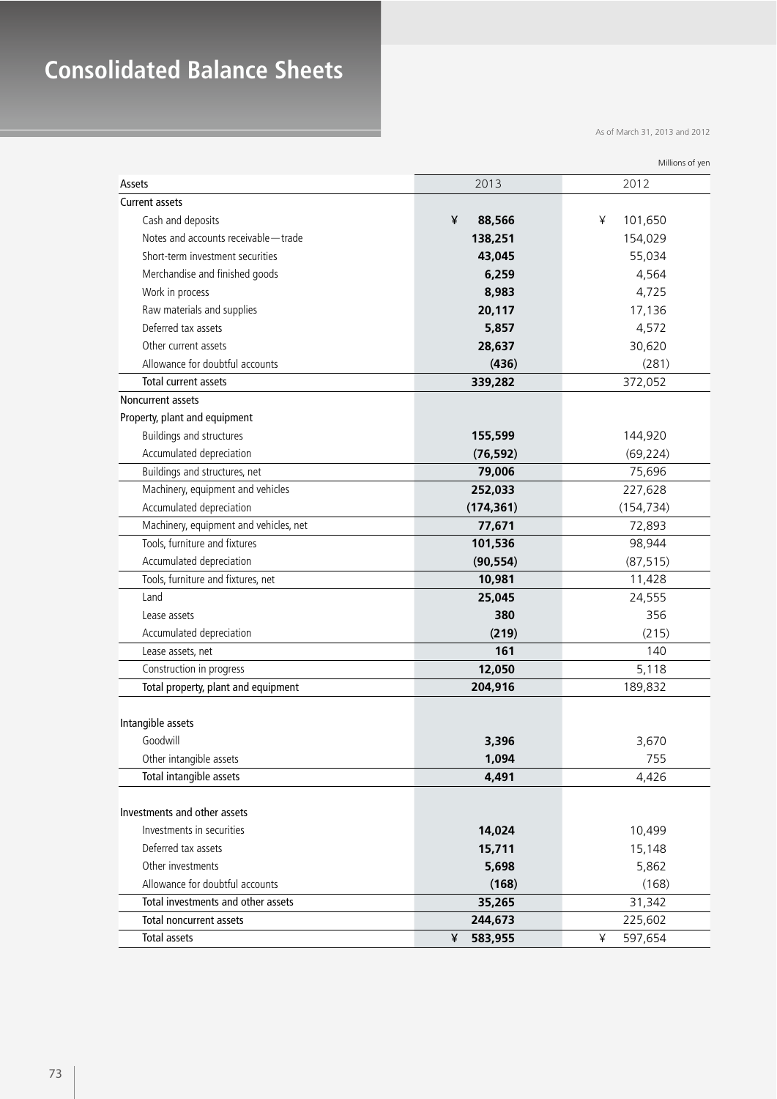## **Consolidated Balance Sheets**

As of March 31, 2013 and 2012

| Assets                                 | 2013         | 2012         |
|----------------------------------------|--------------|--------------|
| <b>Current assets</b>                  |              |              |
| Cash and deposits                      | ¥<br>88,566  | ¥<br>101,650 |
| Notes and accounts receivable - trade  | 138,251      | 154,029      |
| Short-term investment securities       | 43,045       | 55,034       |
| Merchandise and finished goods         | 6,259        | 4,564        |
| Work in process                        | 8,983        | 4,725        |
| Raw materials and supplies             | 20,117       | 17,136       |
| Deferred tax assets                    | 5,857        | 4,572        |
| Other current assets                   | 28,637       | 30,620       |
| Allowance for doubtful accounts        | (436)        | (281)        |
| Total current assets                   | 339,282      | 372,052      |
| Noncurrent assets                      |              |              |
| Property, plant and equipment          |              |              |
| Buildings and structures               | 155,599      | 144,920      |
| Accumulated depreciation               | (76, 592)    | (69, 224)    |
| Buildings and structures, net          | 79,006       | 75,696       |
| Machinery, equipment and vehicles      | 252,033      | 227,628      |
| Accumulated depreciation               | (174, 361)   | (154, 734)   |
| Machinery, equipment and vehicles, net | 77,671       | 72,893       |
| Tools, furniture and fixtures          | 101,536      | 98,944       |
| Accumulated depreciation               | (90, 554)    | (87, 515)    |
| Tools, furniture and fixtures, net     | 10,981       | 11,428       |
| Land                                   | 25,045       | 24,555       |
| Lease assets                           | 380          | 356          |
| Accumulated depreciation               | (219)        | (215)        |
| Lease assets, net                      | 161          | 140          |
| Construction in progress               | 12,050       | 5,118        |
| Total property, plant and equipment    | 204,916      | 189,832      |
| Intangible assets                      |              |              |
| Goodwill                               | 3,396        | 3,670        |
| Other intangible assets                | 1,094        | 755          |
| Total intangible assets                | 4,491        | 4,426        |
|                                        |              |              |
| Investments and other assets           |              |              |
| Investments in securities              | 14,024       | 10,499       |
| Deferred tax assets                    | 15,711       | 15,148       |
| Other investments                      | 5,698        | 5,862        |
| Allowance for doubtful accounts        | (168)        | (168)        |
| Total investments and other assets     | 35,265       | 31,342       |
| <b>Total noncurrent assets</b>         | 244,673      | 225,602      |
| <b>Total assets</b>                    | ¥<br>583,955 | 597,654<br>¥ |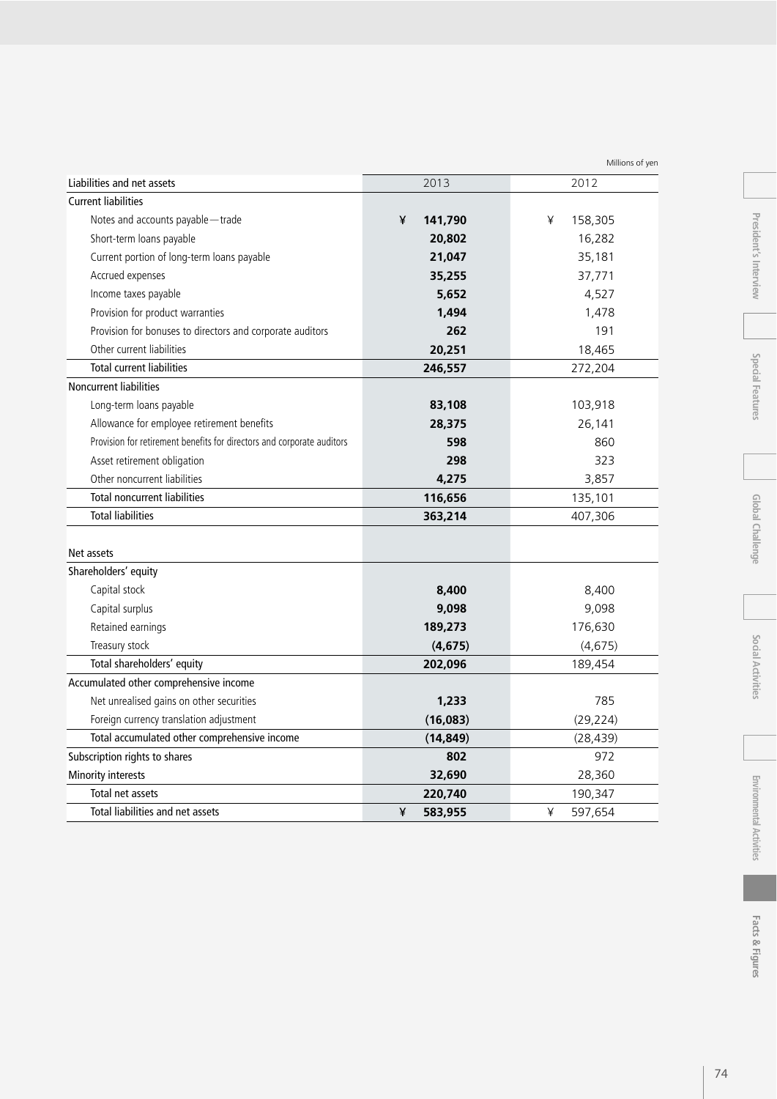| <b>Current liabilities</b>                                             |              |              |
|------------------------------------------------------------------------|--------------|--------------|
| Notes and accounts payable - trade                                     | ¥<br>141,790 | ¥<br>158,305 |
| Short-term loans payable                                               | 20,802       | 16,282       |
| Current portion of long-term loans payable                             | 21,047       | 35,181       |
| Accrued expenses                                                       | 35,255       | 37,771       |
| Income taxes payable                                                   | 5,652        | 4,527        |
| Provision for product warranties                                       | 1,494        | 1,478        |
| Provision for bonuses to directors and corporate auditors              | 262          | 191          |
| Other current liabilities                                              | 20,251       | 18,465       |
| <b>Total current liabilities</b>                                       | 246,557      | 272,204      |
| Noncurrent liabilities                                                 |              |              |
| Long-term loans payable                                                | 83,108       | 103,918      |
| Allowance for employee retirement benefits                             | 28,375       | 26,141       |
| Provision for retirement benefits for directors and corporate auditors | 598          | 860          |
| Asset retirement obligation                                            | 298          | 323          |
| Other noncurrent liabilities                                           | 4,275        | 3,857        |
| <b>Total noncurrent liabilities</b>                                    | 116,656      | 135,101      |
| <b>Total liabilities</b>                                               | 363,214      | 407,306      |
| Net assets                                                             |              |              |
| Shareholders' equity                                                   |              |              |
| Capital stock                                                          | 8,400        | 8,400        |
| Capital surplus                                                        | 9,098        | 9,098        |
| Retained earnings                                                      | 189,273      | 176,630      |
| Treasury stock                                                         | (4, 675)     | (4, 675)     |
| Total shareholders' equity                                             | 202,096      | 189,454      |
| Accumulated other comprehensive income                                 |              |              |
| Net unrealised gains on other securities                               | 1,233        | 785          |
| Foreign currency translation adjustment                                | (16,083)     | (29, 224)    |
| Total accumulated other comprehensive income                           | (14, 849)    | (28, 439)    |
| Subscription rights to shares                                          | 802          | 972          |
| Minority interests                                                     | 32,690       | 28,360       |
| Total net assets                                                       | 220,740      | 190,347      |
| Total liabilities and net assets                                       | ¥<br>583,955 | ¥<br>597,654 |

Liabilities and net assets 2012

Millions of yen

 $\overline{\phantom{a}}$  $\overline{a}$ 

President's Interview **Special Features President's Interview**

74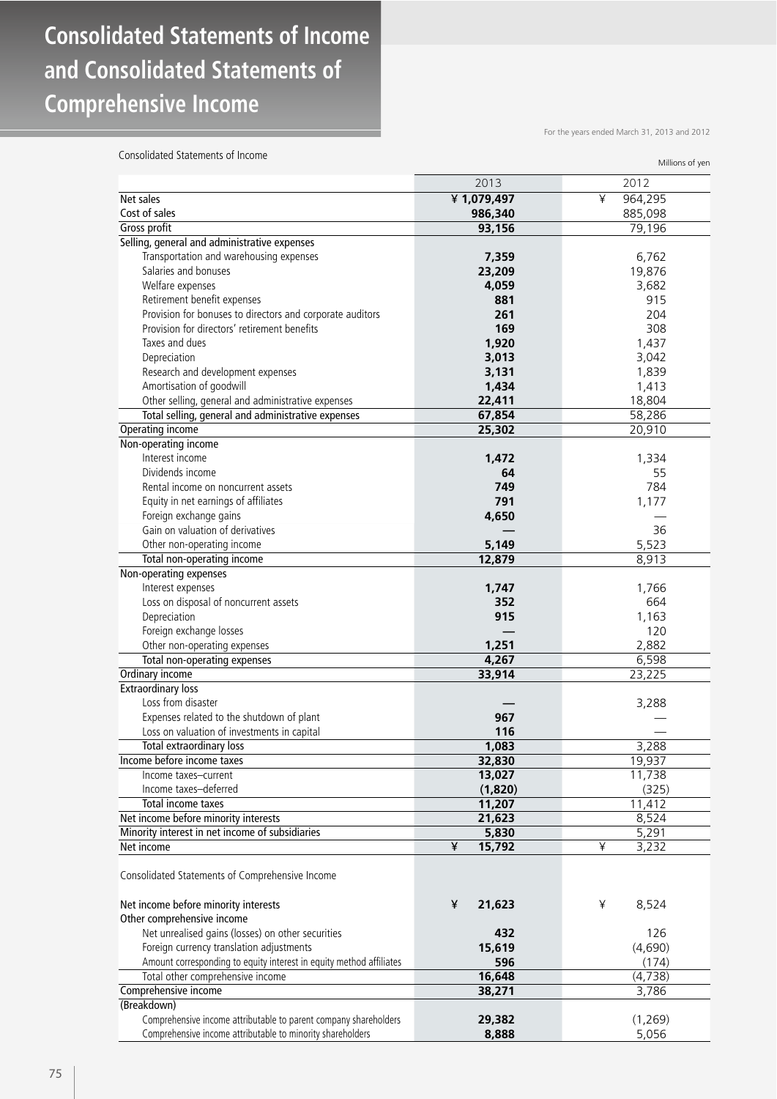## **Consolidated Statements of Income and Consolidated Statements of Comprehensive Income**

For the years ended March 31, 2013 and 2012

Consolidated Statements of Income

| Consonuated statements of income                                    | Millions of yen |              |
|---------------------------------------------------------------------|-----------------|--------------|
|                                                                     | 2013            | 2012         |
| Net sales                                                           | ¥1,079,497      | 964,295<br>¥ |
| Cost of sales                                                       | 986,340         | 885,098      |
| Gross profit                                                        | 93,156          | 79,196       |
| Selling, general and administrative expenses                        |                 |              |
| Transportation and warehousing expenses                             | 7,359           | 6,762        |
| Salaries and bonuses                                                | 23,209          | 19,876       |
| Welfare expenses                                                    | 4,059           | 3,682        |
| Retirement benefit expenses                                         | 881             | 915          |
| Provision for bonuses to directors and corporate auditors           | 261             | 204          |
| Provision for directors' retirement benefits                        | 169             | 308          |
| Taxes and dues                                                      | 1,920           | 1,437        |
| Depreciation                                                        | 3,013           | 3,042        |
| Research and development expenses                                   | 3,131           | 1,839        |
| Amortisation of goodwill                                            | 1,434           | 1,413        |
| Other selling, general and administrative expenses                  | 22,411          | 18,804       |
| Total selling, general and administrative expenses                  | 67,854          | 58,286       |
| Operating income                                                    | 25,302          | 20,910       |
| Non-operating income                                                |                 |              |
| Interest income                                                     | 1,472           | 1,334        |
| Dividends income                                                    | 64              | 55           |
|                                                                     | 749             | 784          |
| Rental income on noncurrent assets                                  |                 |              |
| Equity in net earnings of affiliates                                | 791             | 1,177        |
| Foreign exchange gains                                              | 4,650           |              |
| Gain on valuation of derivatives                                    |                 | 36           |
| Other non-operating income                                          | 5,149           | 5,523        |
| Total non-operating income                                          | 12,879          | 8,913        |
| Non-operating expenses                                              |                 |              |
| Interest expenses                                                   | 1,747           | 1,766        |
| Loss on disposal of noncurrent assets                               | 352             | 664          |
| Depreciation                                                        | 915             | 1,163        |
| Foreign exchange losses                                             |                 | 120          |
| Other non-operating expenses                                        | 1,251           | 2,882        |
| Total non-operating expenses                                        | 4,267           | 6,598        |
| Ordinary income                                                     | 33,914          | 23,225       |
| <b>Extraordinary loss</b>                                           |                 |              |
| Loss from disaster                                                  |                 | 3,288        |
| Expenses related to the shutdown of plant                           | 967             |              |
| Loss on valuation of investments in capital                         | 116             |              |
| Total extraordinary loss                                            | 1,083           | 3,288        |
| Income before income taxes                                          | 32,830          | 19,937       |
| Income taxes-current                                                | 13,027          | 11,738       |
| Income taxes-deferred                                               | (1,820)         | (325)        |
| Total income taxes                                                  | 11,207          | 11,412       |
| Net income before minority interests                                | 21,623          | 8,524        |
| Minority interest in net income of subsidiaries                     | 5,830           | 5,291        |
| Net income                                                          | ¥<br>15,792     | ¥<br>3,232   |
| Consolidated Statements of Comprehensive Income                     |                 |              |
| Net income before minority interests                                | ¥<br>21,623     | ¥<br>8,524   |
| Other comprehensive income                                          |                 |              |
| Net unrealised gains (losses) on other securities                   | 432             | 126          |
| Foreign currency translation adjustments                            | 15,619          | (4,690)      |
| Amount corresponding to equity interest in equity method affiliates | 596             | (174)        |
| Total other comprehensive income                                    | 16,648          | (4, 738)     |
| Comprehensive income                                                | 38,271          | 3,786        |
| (Breakdown)                                                         |                 |              |
| Comprehensive income attributable to parent company shareholders    | 29,382          | (1,269)      |
| Comprehensive income attributable to minority shareholders          | 8,888           | 5,056        |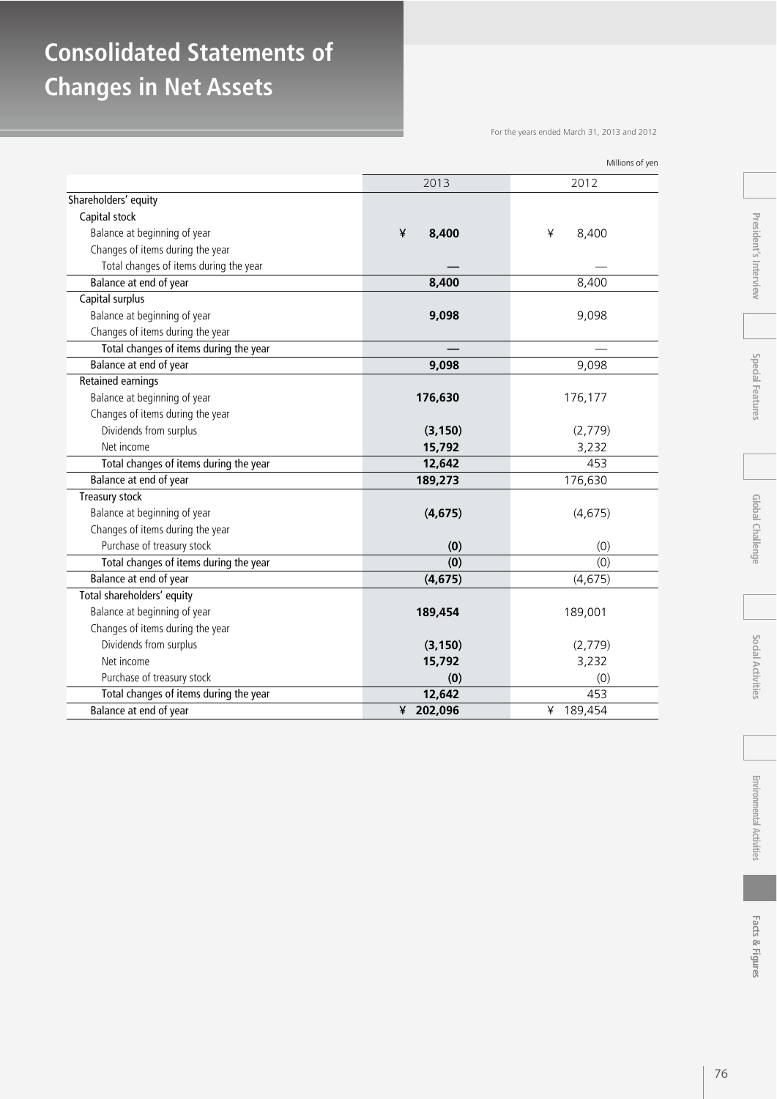## **Consolidated Statements of Changes in Net Assets**

For the years ended March 31, 2013 and 2012

|                                        | 2013         | 2012         |
|----------------------------------------|--------------|--------------|
| Shareholders' equity                   |              |              |
| Capital stock                          |              |              |
| Balance at beginning of year           | ¥<br>8,400   | ¥<br>8,400   |
| Changes of items during the year       |              |              |
| Total changes of items during the year |              |              |
| Balance at end of year                 | 8,400        | 8,400        |
| Capital surplus                        |              |              |
| Balance at beginning of year           | 9,098        | 9,098        |
| Changes of items during the year       |              |              |
| Total changes of items during the year |              |              |
| Balance at end of year                 | 9,098        | 9,098        |
| Retained earnings                      |              |              |
| Balance at beginning of year           | 176,630      | 176,177      |
| Changes of items during the year       |              |              |
| Dividends from surplus                 | (3, 150)     | (2,779)      |
| Net income                             | 15,792       | 3,232        |
| Total changes of items during the year | 12,642       | 453          |
| Balance at end of year                 | 189,273      | 176,630      |
| Treasury stock                         |              |              |
| Balance at beginning of year           | (4, 675)     | (4,675)      |
| Changes of items during the year       |              |              |
| Purchase of treasury stock             | (0)          | (0)          |
| Total changes of items during the year | (0)          | (0)          |
| Balance at end of year                 | (4, 675)     | (4, 675)     |
| Total shareholders' equity             |              |              |
| Balance at beginning of year           | 189,454      | 189,001      |
| Changes of items during the year       |              |              |
| Dividends from surplus                 | (3, 150)     | (2,779)      |
| Net income                             | 15,792       | 3,232        |
| Purchase of treasury stock             | (0)          | (0)          |
| Total changes of items during the year | 12,642       | 453          |
| Balance at end of year                 | 202,096<br>¥ | 189,454<br>¥ |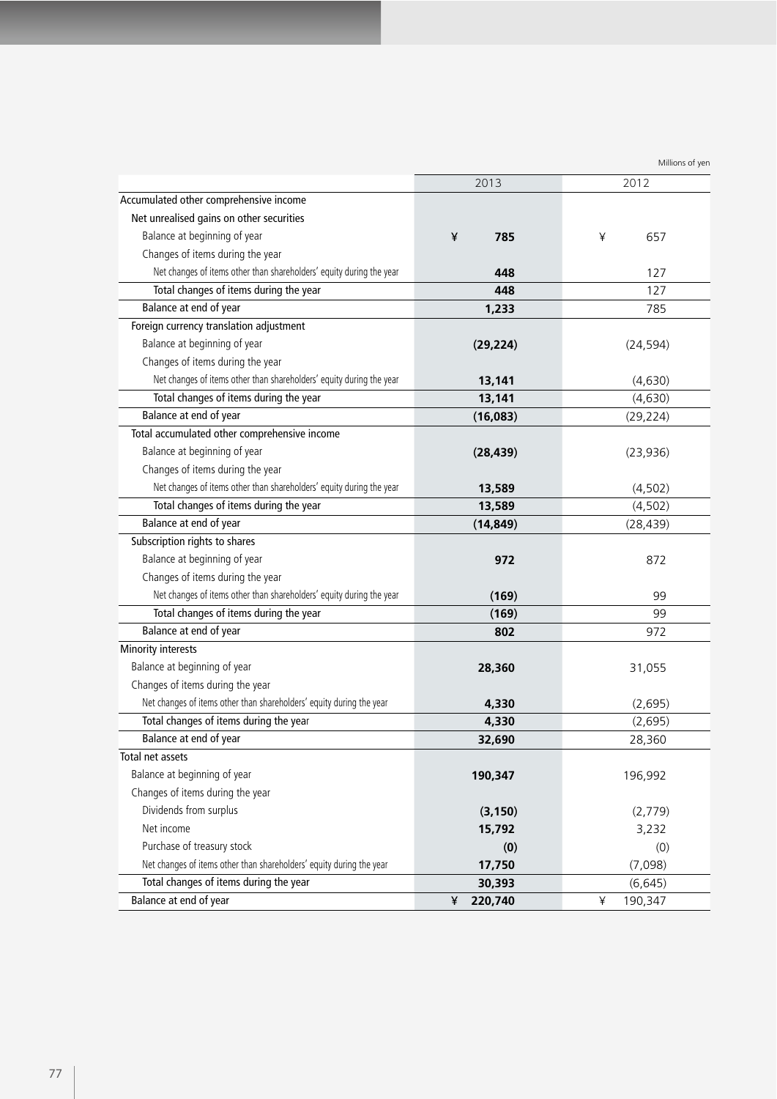|                                                                      | 2013         | 2012         |
|----------------------------------------------------------------------|--------------|--------------|
| Accumulated other comprehensive income                               |              |              |
| Net unrealised gains on other securities                             |              |              |
| Balance at beginning of year                                         | ¥<br>785     | ¥<br>657     |
| Changes of items during the year                                     |              |              |
| Net changes of items other than shareholders' equity during the year | 448          | 127          |
| Total changes of items during the year                               | 448          | 127          |
| Balance at end of year                                               | 1,233        | 785          |
| Foreign currency translation adjustment                              |              |              |
| Balance at beginning of year                                         | (29, 224)    | (24, 594)    |
| Changes of items during the year                                     |              |              |
| Net changes of items other than shareholders' equity during the year | 13,141       | (4,630)      |
| Total changes of items during the year                               | 13,141       | (4,630)      |
| Balance at end of year                                               | (16,083)     | (29, 224)    |
| Total accumulated other comprehensive income                         |              |              |
| Balance at beginning of year                                         | (28, 439)    | (23,936)     |
| Changes of items during the year                                     |              |              |
| Net changes of items other than shareholders' equity during the year | 13,589       | (4,502)      |
| Total changes of items during the year                               | 13,589       | (4,502)      |
| Balance at end of year                                               | (14, 849)    | (28, 439)    |
| Subscription rights to shares                                        |              |              |
| Balance at beginning of year                                         | 972          | 872          |
| Changes of items during the year                                     |              |              |
| Net changes of items other than shareholders' equity during the year | (169)        | 99           |
| Total changes of items during the year                               | (169)        | 99           |
| Balance at end of year                                               | 802          | 972          |
| Minority interests                                                   |              |              |
| Balance at beginning of year                                         | 28,360       | 31,055       |
| Changes of items during the year                                     |              |              |
| Net changes of items other than shareholders' equity during the year | 4,330        | (2,695)      |
| Total changes of items during the year                               | 4,330        | (2,695)      |
| Balance at end of year                                               | 32,690       | 28,360       |
| Total net assets                                                     |              |              |
| Balance at beginning of year                                         | 190,347      | 196,992      |
| Changes of items during the year                                     |              |              |
| Dividends from surplus                                               | (3, 150)     | (2,779)      |
| Net income                                                           | 15,792       | 3,232        |
| Purchase of treasury stock                                           | (0)          | (0)          |
| Net changes of items other than shareholders' equity during the year | 17,750       | (7,098)      |
| Total changes of items during the year                               | 30,393       | (6, 645)     |
| Balance at end of year                                               | 220,740<br>¥ | 190,347<br>¥ |